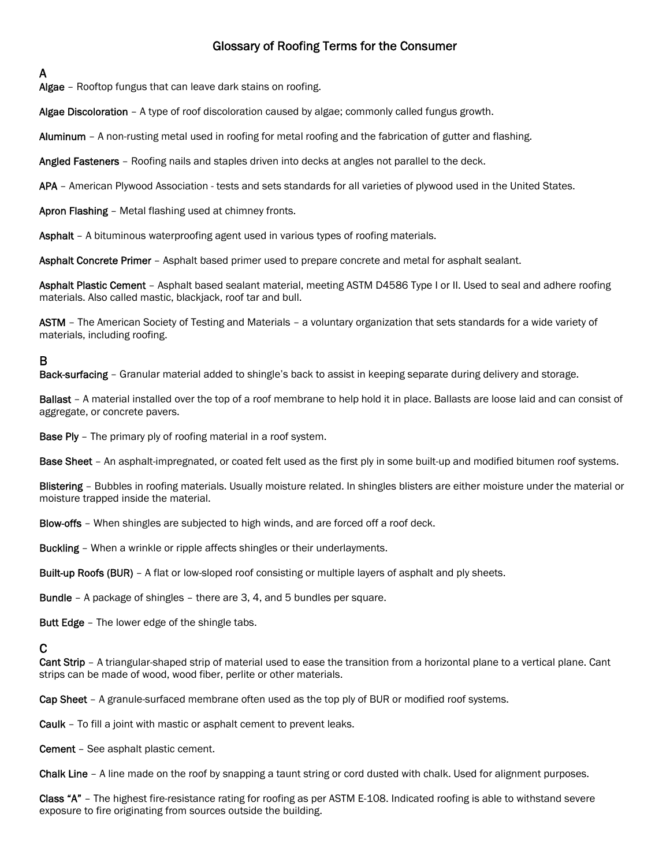# Glossary of Roofing Terms for the Consumer

# A

Algae - Rooftop fungus that can leave dark stains on roofing.

Algae Discoloration - A type of roof discoloration caused by algae; commonly called fungus growth.

Aluminum - A non-rusting metal used in roofing for metal roofing and the fabrication of gutter and flashing.

Angled Fasteners - Roofing nails and staples driven into decks at angles not parallel to the deck.

APA – American Plywood Association - tests and sets standards for all varieties of plywood used in the United States.

Apron Flashing – Metal flashing used at chimney fronts.

Asphalt – A bituminous waterproofing agent used in various types of roofing materials.

Asphalt Concrete Primer – Asphalt based primer used to prepare concrete and metal for asphalt sealant.

Asphalt Plastic Cement – Asphalt based sealant material, meeting ASTM D4586 Type I or II. Used to seal and adhere roofing materials. Also called mastic, blackjack, roof tar and bull.

ASTM – The American Society of Testing and Materials – a voluntary organization that sets standards for a wide variety of materials, including roofing.

# B

Back-surfacing – Granular material added to shingle's back to assist in keeping separate during delivery and storage.

Ballast – A material installed over the top of a roof membrane to help hold it in place. Ballasts are loose laid and can consist of aggregate, or concrete pavers.

**Base Ply** – The primary ply of roofing material in a roof system.

Base Sheet – An asphalt-impregnated, or coated felt used as the first ply in some built-up and modified bitumen roof systems.

Blistering - Bubbles in roofing materials. Usually moisture related. In shingles blisters are either moisture under the material or moisture trapped inside the material.

Blow-offs – When shingles are subjected to high winds, and are forced off a roof deck.

Buckling – When a wrinkle or ripple affects shingles or their underlayments.

Built-up Roofs (BUR) – A flat or low-sloped roof consisting or multiple layers of asphalt and ply sheets.

Bundle – A package of shingles – there are 3, 4, and 5 bundles per square.

**Butt Edge** – The lower edge of the shingle tabs.

## C

Cant Strip - A triangular-shaped strip of material used to ease the transition from a horizontal plane to a vertical plane. Cant strips can be made of wood, wood fiber, perlite or other materials.

Cap Sheet – A granule-surfaced membrane often used as the top ply of BUR or modified roof systems.

Caulk – To fill a joint with mastic or asphalt cement to prevent leaks.

Cement – See asphalt plastic cement.

Chalk Line – A line made on the roof by snapping a taunt string or cord dusted with chalk. Used for alignment purposes.

Class "A" – The highest fire-resistance rating for roofing as per ASTM E-108. Indicated roofing is able to withstand severe exposure to fire originating from sources outside the building.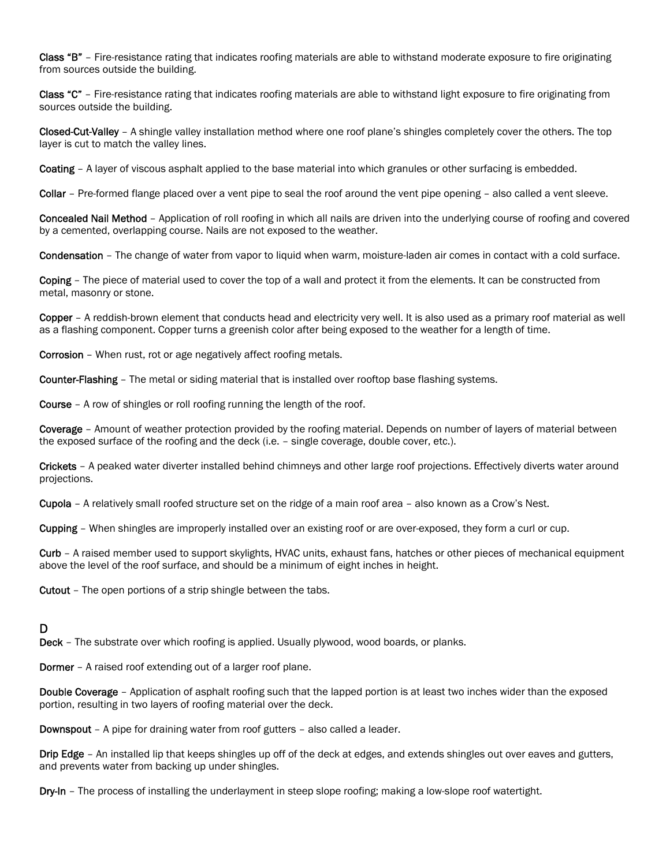Class "B" – Fire-resistance rating that indicates roofing materials are able to withstand moderate exposure to fire originating from sources outside the building.

Class "C" – Fire-resistance rating that indicates roofing materials are able to withstand light exposure to fire originating from sources outside the building.

Closed-Cut-Valley - A shingle valley installation method where one roof plane's shingles completely cover the others. The top layer is cut to match the valley lines.

Coating - A layer of viscous asphalt applied to the base material into which granules or other surfacing is embedded.

Collar – Pre-formed flange placed over a vent pipe to seal the roof around the vent pipe opening – also called a vent sleeve.

Concealed Nail Method – Application of roll roofing in which all nails are driven into the underlying course of roofing and covered by a cemented, overlapping course. Nails are not exposed to the weather.

Condensation – The change of water from vapor to liquid when warm, moisture-laden air comes in contact with a cold surface.

Coping – The piece of material used to cover the top of a wall and protect it from the elements. It can be constructed from metal, masonry or stone.

Copper – A reddish-brown element that conducts head and electricity very well. It is also used as a primary roof material as well as a flashing component. Copper turns a greenish color after being exposed to the weather for a length of time.

Corrosion – When rust, rot or age negatively affect roofing metals.

Counter-Flashing – The metal or siding material that is installed over rooftop base flashing systems.

Course – A row of shingles or roll roofing running the length of the roof.

Coverage – Amount of weather protection provided by the roofing material. Depends on number of layers of material between the exposed surface of the roofing and the deck (i.e. – single coverage, double cover, etc.).

Crickets – A peaked water diverter installed behind chimneys and other large roof projections. Effectively diverts water around projections.

Cupola – A relatively small roofed structure set on the ridge of a main roof area – also known as a Crow's Nest.

Cupping – When shingles are improperly installed over an existing roof or are over-exposed, they form a curl or cup.

Curb – A raised member used to support skylights, HVAC units, exhaust fans, hatches or other pieces of mechanical equipment above the level of the roof surface, and should be a minimum of eight inches in height.

Cutout – The open portions of a strip shingle between the tabs.

### D

Deck – The substrate over which roofing is applied. Usually plywood, wood boards, or planks.

Dormer – A raised roof extending out of a larger roof plane.

Double Coverage – Application of asphalt roofing such that the lapped portion is at least two inches wider than the exposed portion, resulting in two layers of roofing material over the deck.

Downspout – A pipe for draining water from roof gutters – also called a leader.

Drip Edge – An installed lip that keeps shingles up off of the deck at edges, and extends shingles out over eaves and gutters, and prevents water from backing up under shingles.

Dry-In – The process of installing the underlayment in steep slope roofing; making a low-slope roof watertight.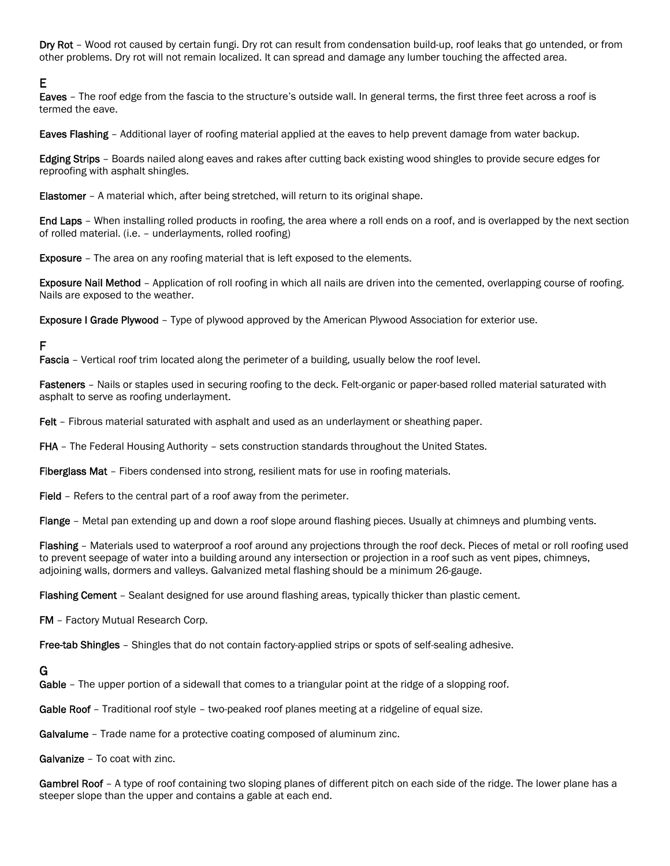Dry Rot – Wood rot caused by certain fungi. Dry rot can result from condensation build-up, roof leaks that go untended, or from other problems. Dry rot will not remain localized. It can spread and damage any lumber touching the affected area.

# E

Eaves – The roof edge from the fascia to the structure's outside wall. In general terms, the first three feet across a roof is termed the eave.

Eaves Flashing – Additional layer of roofing material applied at the eaves to help prevent damage from water backup.

Edging Strips – Boards nailed along eaves and rakes after cutting back existing wood shingles to provide secure edges for reproofing with asphalt shingles.

Elastomer – A material which, after being stretched, will return to its original shape.

End Laps – When installing rolled products in roofing, the area where a roll ends on a roof, and is overlapped by the next section of rolled material. (i.e. – underlayments, rolled roofing)

Exposure – The area on any roofing material that is left exposed to the elements.

Exposure Nail Method – Application of roll roofing in which all nails are driven into the cemented, overlapping course of roofing. Nails are exposed to the weather.

Exposure I Grade Plywood – Type of plywood approved by the American Plywood Association for exterior use.

## F

Fascia - Vertical roof trim located along the perimeter of a building, usually below the roof level.

Fasteners - Nails or staples used in securing roofing to the deck. Felt-organic or paper-based rolled material saturated with asphalt to serve as roofing underlayment.

Felt – Fibrous material saturated with asphalt and used as an underlayment or sheathing paper.

FHA – The Federal Housing Authority – sets construction standards throughout the United States.

Fiberglass Mat – Fibers condensed into strong, resilient mats for use in roofing materials.

Field – Refers to the central part of a roof away from the perimeter.

Flange – Metal pan extending up and down a roof slope around flashing pieces. Usually at chimneys and plumbing vents.

Flashing – Materials used to waterproof a roof around any projections through the roof deck. Pieces of metal or roll roofing used to prevent seepage of water into a building around any intersection or projection in a roof such as vent pipes, chimneys, adjoining walls, dormers and valleys. Galvanized metal flashing should be a minimum 26-gauge.

Flashing Cement - Sealant designed for use around flashing areas, typically thicker than plastic cement.

FM – Factory Mutual Research Corp.

Free-tab Shingles - Shingles that do not contain factory-applied strips or spots of self-sealing adhesive.

### G

Gable – The upper portion of a sidewall that comes to a triangular point at the ridge of a slopping roof.

Gable Roof - Traditional roof style - two-peaked roof planes meeting at a ridgeline of equal size.

Galvalume - Trade name for a protective coating composed of aluminum zinc.

Galvanize – To coat with zinc.

Gambrel Roof – A type of roof containing two sloping planes of different pitch on each side of the ridge. The lower plane has a steeper slope than the upper and contains a gable at each end.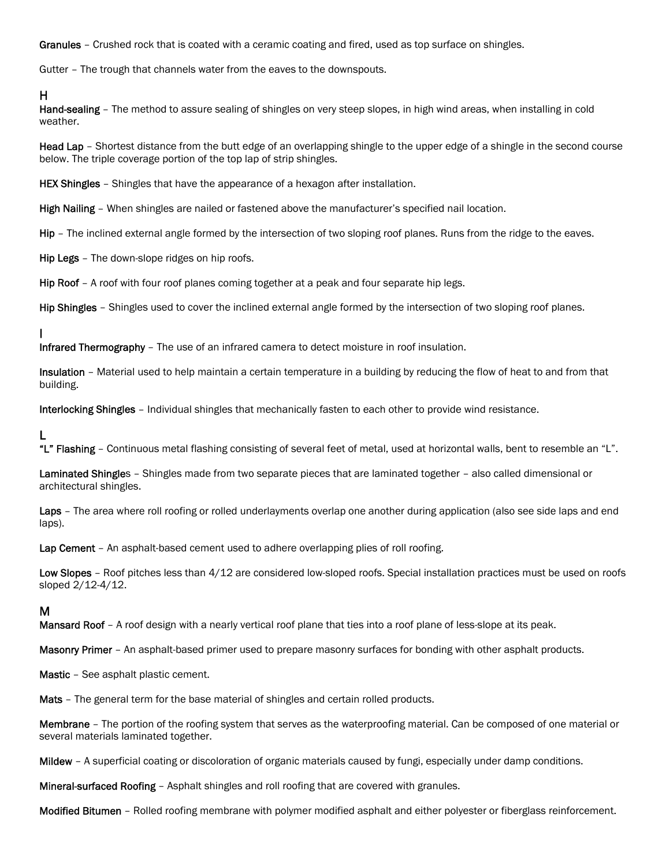Granules – Crushed rock that is coated with a ceramic coating and fired, used as top surface on shingles.

Gutter – The trough that channels water from the eaves to the downspouts.

#### H

Hand-sealing – The method to assure sealing of shingles on very steep slopes, in high wind areas, when installing in cold weather.

Head Lap – Shortest distance from the butt edge of an overlapping shingle to the upper edge of a shingle in the second course below. The triple coverage portion of the top lap of strip shingles.

**HEX Shingles** – Shingles that have the appearance of a hexagon after installation.

High Nailing – When shingles are nailed or fastened above the manufacturer's specified nail location.

Hip – The inclined external angle formed by the intersection of two sloping roof planes. Runs from the ridge to the eaves.

Hip Legs - The down-slope ridges on hip roofs.

Hip Roof – A roof with four roof planes coming together at a peak and four separate hip legs.

Hip Shingles – Shingles used to cover the inclined external angle formed by the intersection of two sloping roof planes.

I

Infrared Thermography – The use of an infrared camera to detect moisture in roof insulation.

Insulation – Material used to help maintain a certain temperature in a building by reducing the flow of heat to and from that building.

Interlocking Shingles – Individual shingles that mechanically fasten to each other to provide wind resistance.

#### L

"L" Flashing - Continuous metal flashing consisting of several feet of metal, used at horizontal walls, bent to resemble an "L".

Laminated Shingles – Shingles made from two separate pieces that are laminated together – also called dimensional or architectural shingles.

Laps – The area where roll roofing or rolled underlayments overlap one another during application (also see side laps and end laps).

Lap Cement – An asphalt-based cement used to adhere overlapping plies of roll roofing.

Low Slopes – Roof pitches less than  $4/12$  are considered low-sloped roofs. Special installation practices must be used on roofs sloped 2/12-4/12.

#### M

Mansard Roof - A roof design with a nearly vertical roof plane that ties into a roof plane of less-slope at its peak.

Masonry Primer - An asphalt-based primer used to prepare masonry surfaces for bonding with other asphalt products.

Mastic – See asphalt plastic cement.

Mats – The general term for the base material of shingles and certain rolled products.

Membrane – The portion of the roofing system that serves as the waterproofing material. Can be composed of one material or several materials laminated together.

Mildew – A superficial coating or discoloration of organic materials caused by fungi, especially under damp conditions.

Mineral-surfaced Roofing – Asphalt shingles and roll roofing that are covered with granules.

Modified Bitumen – Rolled roofing membrane with polymer modified asphalt and either polyester or fiberglass reinforcement.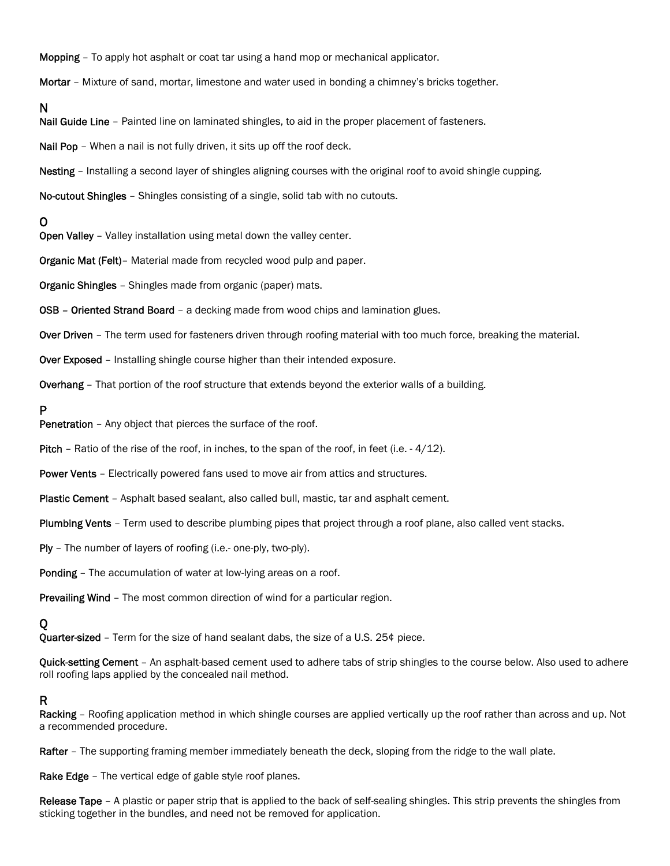Mopping – To apply hot asphalt or coat tar using a hand mop or mechanical applicator.

Mortar – Mixture of sand, mortar, limestone and water used in bonding a chimney's bricks together.

### N

Nail Guide Line - Painted line on laminated shingles, to aid in the proper placement of fasteners.

Nail Pop – When a nail is not fully driven, it sits up off the roof deck.

Nesting – Installing a second layer of shingles aligning courses with the original roof to avoid shingle cupping.

No-cutout Shingles – Shingles consisting of a single, solid tab with no cutouts.

### O

Open Valley – Valley installation using metal down the valley center.

Organic Mat (Felt)– Material made from recycled wood pulp and paper.

Organic Shingles – Shingles made from organic (paper) mats.

OSB – Oriented Strand Board – a decking made from wood chips and lamination glues.

Over Driven - The term used for fasteners driven through roofing material with too much force, breaking the material.

Over Exposed - Installing shingle course higher than their intended exposure.

Overhang – That portion of the roof structure that extends beyond the exterior walls of a building.

#### P

Penetration – Any object that pierces the surface of the roof.

Pitch – Ratio of the rise of the roof, in inches, to the span of the roof, in feet (i.e. - 4/12).

Power Vents – Electrically powered fans used to move air from attics and structures.

Plastic Cement – Asphalt based sealant, also called bull, mastic, tar and asphalt cement.

Plumbing Vents - Term used to describe plumbing pipes that project through a roof plane, also called vent stacks.

Ply – The number of layers of roofing (i.e.- one-ply, two-ply).

Ponding – The accumulation of water at low-lying areas on a roof.

Prevailing Wind – The most common direction of wind for a particular region.

## Q

**Quarter-sized** – Term for the size of hand sealant dabs, the size of a U.S. 25 $\phi$  piece.

Quick-setting Cement - An asphalt-based cement used to adhere tabs of strip shingles to the course below. Also used to adhere roll roofing laps applied by the concealed nail method.

### R

Racking - Roofing application method in which shingle courses are applied vertically up the roof rather than across and up. Not a recommended procedure.

Rafter - The supporting framing member immediately beneath the deck, sloping from the ridge to the wall plate.

Rake Edge - The vertical edge of gable style roof planes.

Release Tape – A plastic or paper strip that is applied to the back of self-sealing shingles. This strip prevents the shingles from sticking together in the bundles, and need not be removed for application.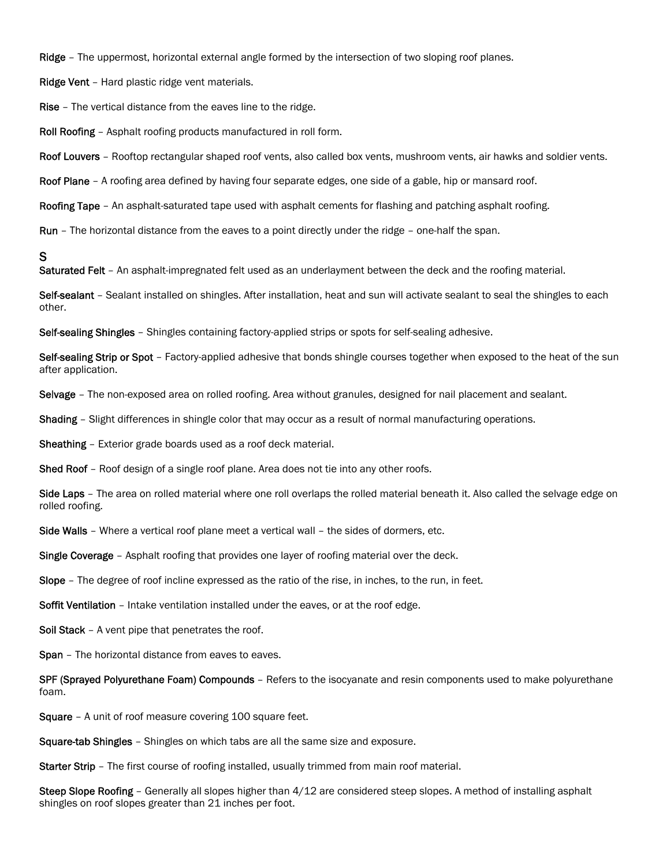Ridge – The uppermost, horizontal external angle formed by the intersection of two sloping roof planes.

Ridge Vent – Hard plastic ridge vent materials.

Rise – The vertical distance from the eaves line to the ridge.

Roll Roofing – Asphalt roofing products manufactured in roll form.

Roof Louvers - Rooftop rectangular shaped roof vents, also called box vents, mushroom vents, air hawks and soldier vents.

Roof Plane – A roofing area defined by having four separate edges, one side of a gable, hip or mansard roof.

Roofing Tape – An asphalt-saturated tape used with asphalt cements for flashing and patching asphalt roofing.

Run – The horizontal distance from the eaves to a point directly under the ridge – one-half the span.

#### S

Saturated Felt - An asphalt-impregnated felt used as an underlayment between the deck and the roofing material.

Self-sealant - Sealant installed on shingles. After installation, heat and sun will activate sealant to seal the shingles to each other.

Self-sealing Shingles - Shingles containing factory-applied strips or spots for self-sealing adhesive.

Self-sealing Strip or Spot – Factory-applied adhesive that bonds shingle courses together when exposed to the heat of the sun after application.

Selvage – The non-exposed area on rolled roofing. Area without granules, designed for nail placement and sealant.

Shading - Slight differences in shingle color that may occur as a result of normal manufacturing operations.

Sheathing – Exterior grade boards used as a roof deck material.

Shed Roof - Roof design of a single roof plane. Area does not tie into any other roofs.

Side Laps – The area on rolled material where one roll overlaps the rolled material beneath it. Also called the selvage edge on rolled roofing.

Side Walls – Where a vertical roof plane meet a vertical wall – the sides of dormers, etc.

**Single Coverage** – Asphalt roofing that provides one layer of roofing material over the deck.

Slope – The degree of roof incline expressed as the ratio of the rise, in inches, to the run, in feet.

Soffit Ventilation – Intake ventilation installed under the eaves, or at the roof edge.

Soil Stack - A vent pipe that penetrates the roof.

Span - The horizontal distance from eaves to eaves.

SPF (Sprayed Polyurethane Foam) Compounds - Refers to the isocyanate and resin components used to make polyurethane foam.

Square – A unit of roof measure covering 100 square feet.

Square-tab Shingles – Shingles on which tabs are all the same size and exposure.

**Starter Strip** – The first course of roofing installed, usually trimmed from main roof material.

Steep Slope Roofing – Generally all slopes higher than  $4/12$  are considered steep slopes. A method of installing asphalt shingles on roof slopes greater than 21 inches per foot.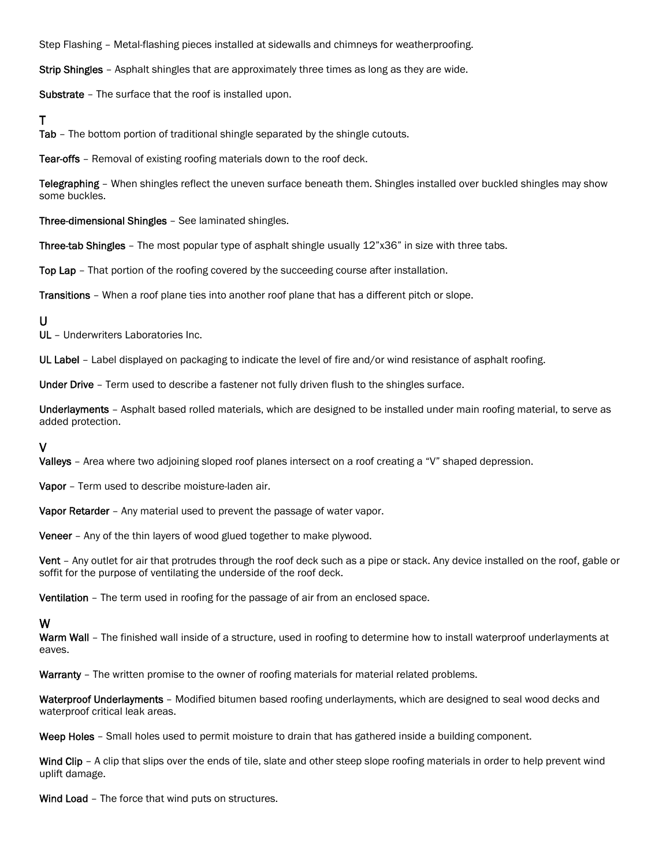Step Flashing – Metal-flashing pieces installed at sidewalls and chimneys for weatherproofing.

Strip Shingles – Asphalt shingles that are approximately three times as long as they are wide.

Substrate – The surface that the roof is installed upon.

### T

Tab – The bottom portion of traditional shingle separated by the shingle cutouts.

Tear-offs – Removal of existing roofing materials down to the roof deck.

Telegraphing – When shingles reflect the uneven surface beneath them. Shingles installed over buckled shingles may show some buckles.

Three-dimensional Shingles – See laminated shingles.

Three-tab Shingles - The most popular type of asphalt shingle usually 12"x36" in size with three tabs.

Top Lap – That portion of the roofing covered by the succeeding course after installation.

Transitions – When a roof plane ties into another roof plane that has a different pitch or slope.

#### U

UL – Underwriters Laboratories Inc.

UL Label - Label displayed on packaging to indicate the level of fire and/or wind resistance of asphalt roofing.

Under Drive - Term used to describe a fastener not fully driven flush to the shingles surface.

Underlayments – Asphalt based rolled materials, which are designed to be installed under main roofing material, to serve as added protection.

#### V

Valleys – Area where two adjoining sloped roof planes intersect on a roof creating a "V" shaped depression.

Vapor – Term used to describe moisture-laden air.

Vapor Retarder - Any material used to prevent the passage of water vapor.

Veneer – Any of the thin layers of wood glued together to make plywood.

Vent – Any outlet for air that protrudes through the roof deck such as a pipe or stack. Any device installed on the roof, gable or soffit for the purpose of ventilating the underside of the roof deck.

Ventilation – The term used in roofing for the passage of air from an enclosed space.

## W

Warm Wall – The finished wall inside of a structure, used in roofing to determine how to install waterproof underlayments at eaves.

Warranty - The written promise to the owner of roofing materials for material related problems.

Waterproof Underlayments – Modified bitumen based roofing underlayments, which are designed to seal wood decks and waterproof critical leak areas.

Weep Holes - Small holes used to permit moisture to drain that has gathered inside a building component.

Wind Clip – A clip that slips over the ends of tile, slate and other steep slope roofing materials in order to help prevent wind uplift damage.

Wind Load - The force that wind puts on structures.